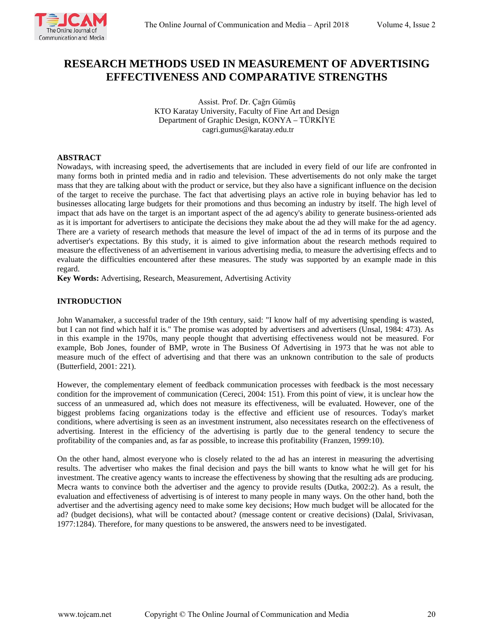

# **RESEARCH METHODS USED IN MEASUREMENT OF ADVERTISING EFFECTIVENESS AND COMPARATIVE STRENGTHS**

Assist. Prof. Dr. Çağrı Gümüş KTO Karatay University, Faculty of Fine Art and Design Department of Graphic Design, KONYA – TÜRKİYE cagri.gumus@karatay.edu.tr

## **ABSTRACT**

Nowadays, with increasing speed, the advertisements that are included in every field of our life are confronted in many forms both in printed media and in radio and television. These advertisements do not only make the target mass that they are talking about with the product or service, but they also have a significant influence on the decision of the target to receive the purchase. The fact that advertising plays an active role in buying behavior has led to businesses allocating large budgets for their promotions and thus becoming an industry by itself. The high level of impact that ads have on the target is an important aspect of the ad agency's ability to generate business-oriented ads as it is important for advertisers to anticipate the decisions they make about the ad they will make for the ad agency. There are a variety of research methods that measure the level of impact of the ad in terms of its purpose and the advertiser's expectations. By this study, it is aimed to give information about the research methods required to measure the effectiveness of an advertisement in various advertising media, to measure the advertising effects and to evaluate the difficulties encountered after these measures. The study was supported by an example made in this regard.

**Key Words:** Advertising, Research, Measurement, Advertising Activity

# **INTRODUCTION**

John Wanamaker, a successful trader of the 19th century, said: "I know half of my advertising spending is wasted, but I can not find which half it is." The promise was adopted by advertisers and advertisers (Unsal, 1984: 473). As in this example in the 1970s, many people thought that advertising effectiveness would not be measured. For example, Bob Jones, founder of BMP, wrote in The Business Of Advertising in 1973 that he was not able to measure much of the effect of advertising and that there was an unknown contribution to the sale of products (Butterfield, 2001: 221).

However, the complementary element of feedback communication processes with feedback is the most necessary condition for the improvement of communication (Cereci, 2004: 151). From this point of view, it is unclear how the success of an unmeasured ad, which does not measure its effectiveness, will be evaluated. However, one of the biggest problems facing organizations today is the effective and efficient use of resources. Today's market conditions, where advertising is seen as an investment instrument, also necessitates research on the effectiveness of advertising. Interest in the efficiency of the advertising is partly due to the general tendency to secure the profitability of the companies and, as far as possible, to increase this profitability (Franzen, 1999:10).

On the other hand, almost everyone who is closely related to the ad has an interest in measuring the advertising results. The advertiser who makes the final decision and pays the bill wants to know what he will get for his investment. The creative agency wants to increase the effectiveness by showing that the resulting ads are producing. Mecra wants to convince both the advertiser and the agency to provide results (Dutka, 2002:2). As a result, the evaluation and effectiveness of advertising is of interest to many people in many ways. On the other hand, both the advertiser and the advertising agency need to make some key decisions; How much budget will be allocated for the ad? (budget decisions), what will be contacted about? (message content or creative decisions) (Dalal, Srivivasan, 1977:1284). Therefore, for many questions to be answered, the answers need to be investigated.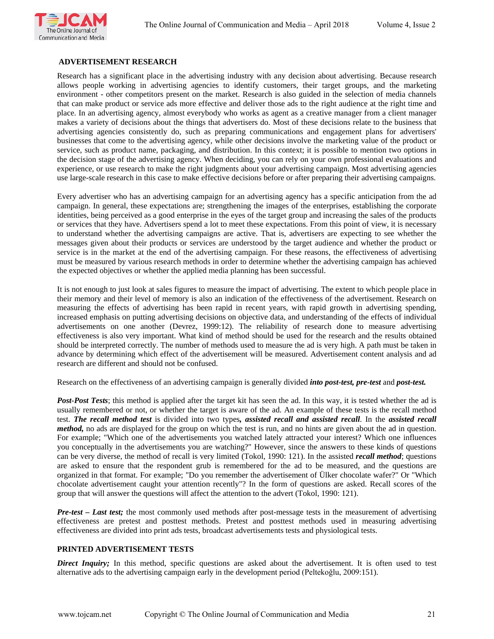

## **ADVERTISEMENT RESEARCH**

Research has a significant place in the advertising industry with any decision about advertising. Because research allows people working in advertising agencies to identify customers, their target groups, and the marketing environment - other competitors present on the market. Research is also guided in the selection of media channels that can make product or service ads more effective and deliver those ads to the right audience at the right time and place. In an advertising agency, almost everybody who works as agent as a creative manager from a client manager makes a variety of decisions about the things that advertisers do. Most of these decisions relate to the business that advertising agencies consistently do, such as preparing communications and engagement plans for advertisers' businesses that come to the advertising agency, while other decisions involve the marketing value of the product or service, such as product name, packaging, and distribution. In this context; it is possible to mention two options in the decision stage of the advertising agency. When deciding, you can rely on your own professional evaluations and experience, or use research to make the right judgments about your advertising campaign. Most advertising agencies use large-scale research in this case to make effective decisions before or after preparing their advertising campaigns.

Every advertiser who has an advertising campaign for an advertising agency has a specific anticipation from the ad campaign. In general, these expectations are; strengthening the images of the enterprises, establishing the corporate identities, being perceived as a good enterprise in the eyes of the target group and increasing the sales of the products or services that they have. Advertisers spend a lot to meet these expectations. From this point of view, it is necessary to understand whether the advertising campaigns are active. That is, advertisers are expecting to see whether the messages given about their products or services are understood by the target audience and whether the product or service is in the market at the end of the advertising campaign. For these reasons, the effectiveness of advertising must be measured by various research methods in order to determine whether the advertising campaign has achieved the expected objectives or whether the applied media planning has been successful.

It is not enough to just look at sales figures to measure the impact of advertising. The extent to which people place in their memory and their level of memory is also an indication of the effectiveness of the advertisement. Research on measuring the effects of advertising has been rapid in recent years, with rapid growth in advertising spending, increased emphasis on putting advertising decisions on objective data, and understanding of the effects of individual advertisements on one another (Devrez, 1999:12). The reliability of research done to measure advertising effectiveness is also very important. What kind of method should be used for the research and the results obtained should be interpreted correctly. The number of methods used to measure the ad is very high. A path must be taken in advance by determining which effect of the advertisement will be measured. Advertisement content analysis and ad research are different and should not be confused.

Research on the effectiveness of an advertising campaign is generally divided *into post-test, pre-test* and *post-test.*

*Post-Post Tests*; this method is applied after the target kit has seen the ad. In this way, it is tested whether the ad is usually remembered or not, or whether the target is aware of the ad. An example of these tests is the recall method test. *The recall method test* is divided into two types*, assisted recall and assisted recall*. In the *assisted recall method,* no ads are displayed for the group on which the test is run, and no hints are given about the ad in question. For example; "Which one of the advertisements you watched lately attracted your interest? Which one influences you conceptually in the advertisements you are watching?" However, since the answers to these kinds of questions can be very diverse, the method of recall is very limited (Tokol, 1990: 121). In the assisted *recall method*; questions are asked to ensure that the respondent grub is remembered for the ad to be measured, and the questions are organized in that format. For example; "Do you remember the advertisement of Ülker chocolate wafer?" Or "Which chocolate advertisement caught your attention recently"? In the form of questions are asked. Recall scores of the group that will answer the questions will affect the attention to the advert (Tokol, 1990: 121).

*Pre-test – Last test;* the most commonly used methods after post-message tests in the measurement of advertising effectiveness are pretest and posttest methods. Pretest and posttest methods used in measuring advertising effectiveness are divided into print ads tests, broadcast advertisements tests and physiological tests.

### **PRINTED ADVERTISEMENT TESTS**

*Direct Inquiry*; In this method, specific questions are asked about the advertisement. It is often used to test alternative ads to the advertising campaign early in the development period (Peltekoğlu, 2009:151).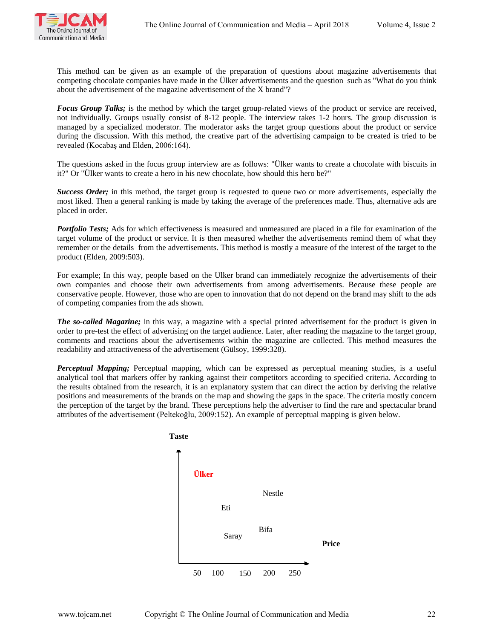

This method can be given as an example of the preparation of questions about magazine advertisements that competing chocolate companies have made in the Ülker advertisements and the question such as "What do you think about the advertisement of the magazine advertisement of the X brand"?

*Focus Group Talks;* is the method by which the target group-related views of the product or service are received, not individually. Groups usually consist of 8-12 people. The interview takes 1-2 hours. The group discussion is managed by a specialized moderator. The moderator asks the target group questions about the product or service during the discussion. With this method, the creative part of the advertising campaign to be created is tried to be revealed (Kocabaş and Elden, 2006:164).

The questions asked in the focus group interview are as follows: "Ülker wants to create a chocolate with biscuits in it?" Or "Ülker wants to create a hero in his new chocolate, how should this hero be?"

*Success Order;* in this method, the target group is requested to queue two or more advertisements, especially the most liked. Then a general ranking is made by taking the average of the preferences made. Thus, alternative ads are placed in order.

*Portfolio Tests;* Ads for which effectiveness is measured and unmeasured are placed in a file for examination of the target volume of the product or service. It is then measured whether the advertisements remind them of what they remember or the details from the advertisements. This method is mostly a measure of the interest of the target to the product (Elden, 2009:503).

For example; In this way, people based on the Ulker brand can immediately recognize the advertisements of their own companies and choose their own advertisements from among advertisements. Because these people are conservative people. However, those who are open to innovation that do not depend on the brand may shift to the ads of competing companies from the ads shown.

*The so-called Magazine;* in this way, a magazine with a special printed advertisement for the product is given in order to pre-test the effect of advertising on the target audience. Later, after reading the magazine to the target group, comments and reactions about the advertisements within the magazine are collected. This method measures the readability and attractiveness of the advertisement (Gülsoy, 1999:328).

*Perceptual Mapping;* Perceptual mapping, which can be expressed as perceptual meaning studies, is a useful analytical tool that markers offer by ranking against their competitors according to specified criteria. According to the results obtained from the research, it is an explanatory system that can direct the action by deriving the relative positions and measurements of the brands on the map and showing the gaps in the space. The criteria mostly concern the perception of the target by the brand. These perceptions help the advertiser to find the rare and spectacular brand attributes of the advertisement (Peltekoğlu, 2009:152). An example of perceptual mapping is given below.

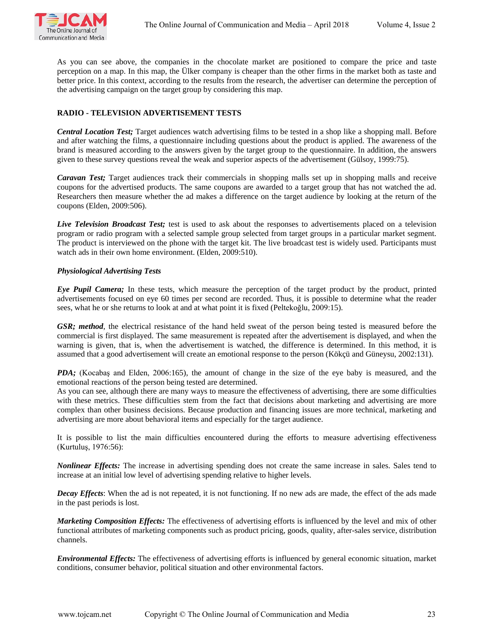

As you can see above, the companies in the chocolate market are positioned to compare the price and taste perception on a map. In this map, the Ülker company is cheaper than the other firms in the market both as taste and better price. In this context, according to the results from the research, the advertiser can determine the perception of the advertising campaign on the target group by considering this map.

# **RADIO - TELEVISION ADVERTISEMENT TESTS**

*Central Location Test;* Target audiences watch advertising films to be tested in a shop like a shopping mall. Before and after watching the films, a questionnaire including questions about the product is applied. The awareness of the brand is measured according to the answers given by the target group to the questionnaire. In addition, the answers given to these survey questions reveal the weak and superior aspects of the advertisement (Gülsoy, 1999:75).

*Caravan Test;* Target audiences track their commercials in shopping malls set up in shopping malls and receive coupons for the advertised products. The same coupons are awarded to a target group that has not watched the ad. Researchers then measure whether the ad makes a difference on the target audience by looking at the return of the coupons (Elden, 2009:506).

*Live Television Broadcast Test;* test is used to ask about the responses to advertisements placed on a television program or radio program with a selected sample group selected from target groups in a particular market segment. The product is interviewed on the phone with the target kit. The live broadcast test is widely used. Participants must watch ads in their own home environment. (Elden, 2009:510).

## *Physiological Advertising Tests*

*Eye Pupil Camera;* In these tests, which measure the perception of the target product by the product, printed advertisements focused on eye 60 times per second are recorded. Thus, it is possible to determine what the reader sees, what he or she returns to look at and at what point it is fixed (Peltekoğlu, 2009:15).

*GSR; method*, the electrical resistance of the hand held sweat of the person being tested is measured before the commercial is first displayed. The same measurement is repeated after the advertisement is displayed, and when the warning is given, that is, when the advertisement is watched, the difference is determined. In this method, it is assumed that a good advertisement will create an emotional response to the person (Kökçü and Güneysu, 2002:131).

*PDA;* (Kocabaş and Elden, 2006:165), the amount of change in the size of the eye baby is measured, and the emotional reactions of the person being tested are determined.

As you can see, although there are many ways to measure the effectiveness of advertising, there are some difficulties with these metrics. These difficulties stem from the fact that decisions about marketing and advertising are more complex than other business decisions. Because production and financing issues are more technical, marketing and advertising are more about behavioral items and especially for the target audience.

It is possible to list the main difficulties encountered during the efforts to measure advertising effectiveness (Kurtuluş, 1976:56):

*Nonlinear Effects:* The increase in advertising spending does not create the same increase in sales. Sales tend to increase at an initial low level of advertising spending relative to higher levels.

*Decay Effects*: When the ad is not repeated, it is not functioning. If no new ads are made, the effect of the ads made in the past periods is lost.

*Marketing Composition Effects:* The effectiveness of advertising efforts is influenced by the level and mix of other functional attributes of marketing components such as product pricing, goods, quality, after-sales service, distribution channels.

*Environmental Effects:* The effectiveness of advertising efforts is influenced by general economic situation, market conditions, consumer behavior, political situation and other environmental factors.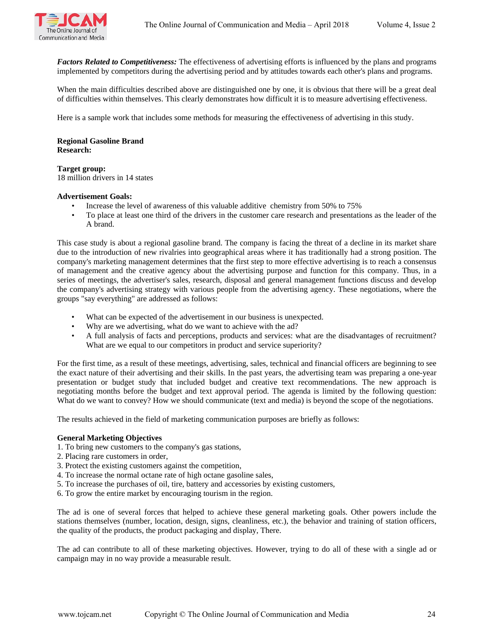

*Factors Related to Competitiveness:* The effectiveness of advertising efforts is influenced by the plans and programs implemented by competitors during the advertising period and by attitudes towards each other's plans and programs.

When the main difficulties described above are distinguished one by one, it is obvious that there will be a great deal of difficulties within themselves. This clearly demonstrates how difficult it is to measure advertising effectiveness.

Here is a sample work that includes some methods for measuring the effectiveness of advertising in this study.

## **Regional Gasoline Brand Research:**

# **Target group:**

18 million drivers in 14 states

### **Advertisement Goals:**

- Increase the level of awareness of this valuable additive chemistry from 50% to 75%
- To place at least one third of the drivers in the customer care research and presentations as the leader of the A brand.

This case study is about a regional gasoline brand. The company is facing the threat of a decline in its market share due to the introduction of new rivalries into geographical areas where it has traditionally had a strong position. The company's marketing management determines that the first step to more effective advertising is to reach a consensus of management and the creative agency about the advertising purpose and function for this company. Thus, in a series of meetings, the advertiser's sales, research, disposal and general management functions discuss and develop the company's advertising strategy with various people from the advertising agency. These negotiations, where the groups "say everything" are addressed as follows:

- What can be expected of the advertisement in our business is unexpected.
- Why are we advertising, what do we want to achieve with the ad?
- A full analysis of facts and perceptions, products and services: what are the disadvantages of recruitment? What are we equal to our competitors in product and service superiority?

For the first time, as a result of these meetings, advertising, sales, technical and financial officers are beginning to see the exact nature of their advertising and their skills. In the past years, the advertising team was preparing a one-year presentation or budget study that included budget and creative text recommendations. The new approach is negotiating months before the budget and text approval period. The agenda is limited by the following question: What do we want to convey? How we should communicate (text and media) is beyond the scope of the negotiations.

The results achieved in the field of marketing communication purposes are briefly as follows:

# **General Marketing Objectives**

- 1. To bring new customers to the company's gas stations,
- 2. Placing rare customers in order,
- 3. Protect the existing customers against the competition,
- 4. To increase the normal octane rate of high octane gasoline sales,
- 5. To increase the purchases of oil, tire, battery and accessories by existing customers,
- 6. To grow the entire market by encouraging tourism in the region.

The ad is one of several forces that helped to achieve these general marketing goals. Other powers include the stations themselves (number, location, design, signs, cleanliness, etc.), the behavior and training of station officers, the quality of the products, the product packaging and display, There.

The ad can contribute to all of these marketing objectives. However, trying to do all of these with a single ad or campaign may in no way provide a measurable result.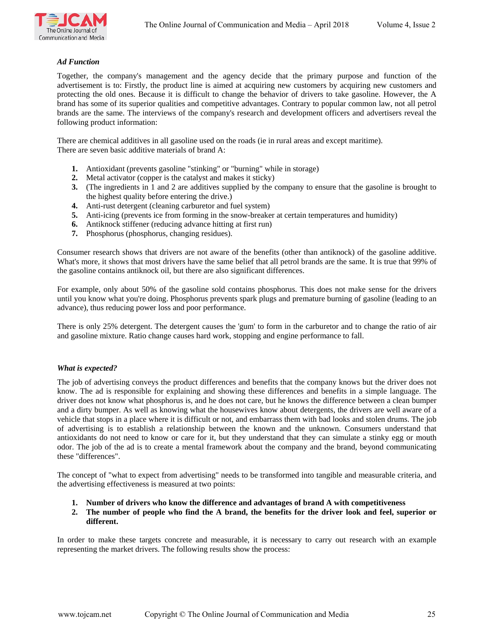

## *Ad Function*

Together, the company's management and the agency decide that the primary purpose and function of the advertisement is to: Firstly, the product line is aimed at acquiring new customers by acquiring new customers and protecting the old ones. Because it is difficult to change the behavior of drivers to take gasoline. However, the A brand has some of its superior qualities and competitive advantages. Contrary to popular common law, not all petrol brands are the same. The interviews of the company's research and development officers and advertisers reveal the following product information:

There are chemical additives in all gasoline used on the roads (ie in rural areas and except maritime). There are seven basic additive materials of brand A:

- **1.** Antioxidant (prevents gasoline "stinking" or "burning" while in storage)
- **2.** Metal activator (copper is the catalyst and makes it sticky)
- **3.** (The ingredients in 1 and 2 are additives supplied by the company to ensure that the gasoline is brought to the highest quality before entering the drive.)
- **4.** Anti-rust detergent (cleaning carburetor and fuel system)
- **5.** Anti-icing (prevents ice from forming in the snow-breaker at certain temperatures and humidity)
- **6.** Antiknock stiffener (reducing advance hitting at first run)
- **7.** Phosphorus (phosphorus, changing residues).

Consumer research shows that drivers are not aware of the benefits (other than antiknock) of the gasoline additive. What's more, it shows that most drivers have the same belief that all petrol brands are the same. It is true that 99% of the gasoline contains antiknock oil, but there are also significant differences.

For example, only about 50% of the gasoline sold contains phosphorus. This does not make sense for the drivers until you know what you're doing. Phosphorus prevents spark plugs and premature burning of gasoline (leading to an advance), thus reducing power loss and poor performance.

There is only 25% detergent. The detergent causes the 'gum' to form in the carburetor and to change the ratio of air and gasoline mixture. Ratio change causes hard work, stopping and engine performance to fall.

### *What is expected?*

The job of advertising conveys the product differences and benefits that the company knows but the driver does not know. The ad is responsible for explaining and showing these differences and benefits in a simple language. The driver does not know what phosphorus is, and he does not care, but he knows the difference between a clean bumper and a dirty bumper. As well as knowing what the housewives know about detergents, the drivers are well aware of a vehicle that stops in a place where it is difficult or not, and embarrass them with bad looks and stolen drums. The job of advertising is to establish a relationship between the known and the unknown. Consumers understand that antioxidants do not need to know or care for it, but they understand that they can simulate a stinky egg or mouth odor. The job of the ad is to create a mental framework about the company and the brand, beyond communicating these "differences".

The concept of "what to expect from advertising" needs to be transformed into tangible and measurable criteria, and the advertising effectiveness is measured at two points:

- **1. Number of drivers who know the difference and advantages of brand A with competitiveness**
- **2. The number of people who find the A brand, the benefits for the driver look and feel, superior or different.**

In order to make these targets concrete and measurable, it is necessary to carry out research with an example representing the market drivers. The following results show the process: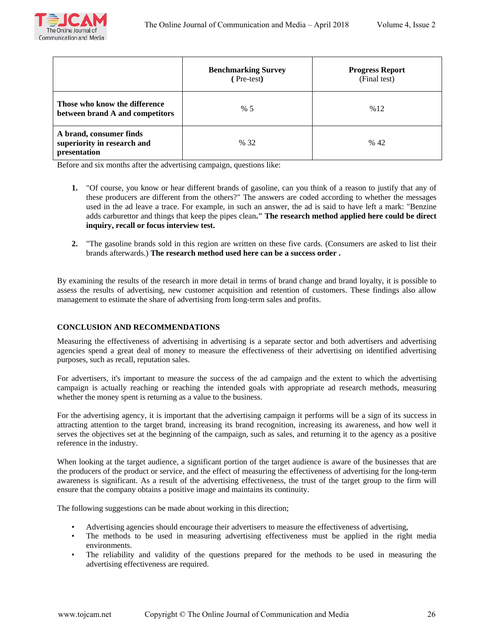

|                                                                        | <b>Benchmarking Survey</b><br>(Pre-test) | <b>Progress Report</b><br>(Final test) |
|------------------------------------------------------------------------|------------------------------------------|----------------------------------------|
| Those who know the difference<br>between brand A and competitors       | % 5                                      | %12                                    |
| A brand, consumer finds<br>superiority in research and<br>presentation | % 32                                     | % 42                                   |

Before and six months after the advertising campaign, questions like:

- **1.** "Of course, you know or hear different brands of gasoline, can you think of a reason to justify that any of these producers are different from the others?" The answers are coded according to whether the messages used in the ad leave a trace. For example, in such an answer, the ad is said to have left a mark: "Benzine adds carburettor and things that keep the pipes clean**." The research method applied here could be direct inquiry, recall or focus interview test.**
- **2.** "The gasoline brands sold in this region are written on these five cards. (Consumers are asked to list their brands afterwards.) **The research method used here can be a success order .**

By examining the results of the research in more detail in terms of brand change and brand loyalty, it is possible to assess the results of advertising, new customer acquisition and retention of customers. These findings also allow management to estimate the share of advertising from long-term sales and profits.

# **CONCLUSION AND RECOMMENDATIONS**

Measuring the effectiveness of advertising in advertising is a separate sector and both advertisers and advertising agencies spend a great deal of money to measure the effectiveness of their advertising on identified advertising purposes, such as recall, reputation sales.

For advertisers, it's important to measure the success of the ad campaign and the extent to which the advertising campaign is actually reaching or reaching the intended goals with appropriate ad research methods, measuring whether the money spent is returning as a value to the business.

For the advertising agency, it is important that the advertising campaign it performs will be a sign of its success in attracting attention to the target brand, increasing its brand recognition, increasing its awareness, and how well it serves the objectives set at the beginning of the campaign, such as sales, and returning it to the agency as a positive reference in the industry.

When looking at the target audience, a significant portion of the target audience is aware of the businesses that are the producers of the product or service, and the effect of measuring the effectiveness of advertising for the long-term awareness is significant. As a result of the advertising effectiveness, the trust of the target group to the firm will ensure that the company obtains a positive image and maintains its continuity.

The following suggestions can be made about working in this direction;

- Advertising agencies should encourage their advertisers to measure the effectiveness of advertising,
- The methods to be used in measuring advertising effectiveness must be applied in the right media environments.
- The reliability and validity of the questions prepared for the methods to be used in measuring the advertising effectiveness are required.